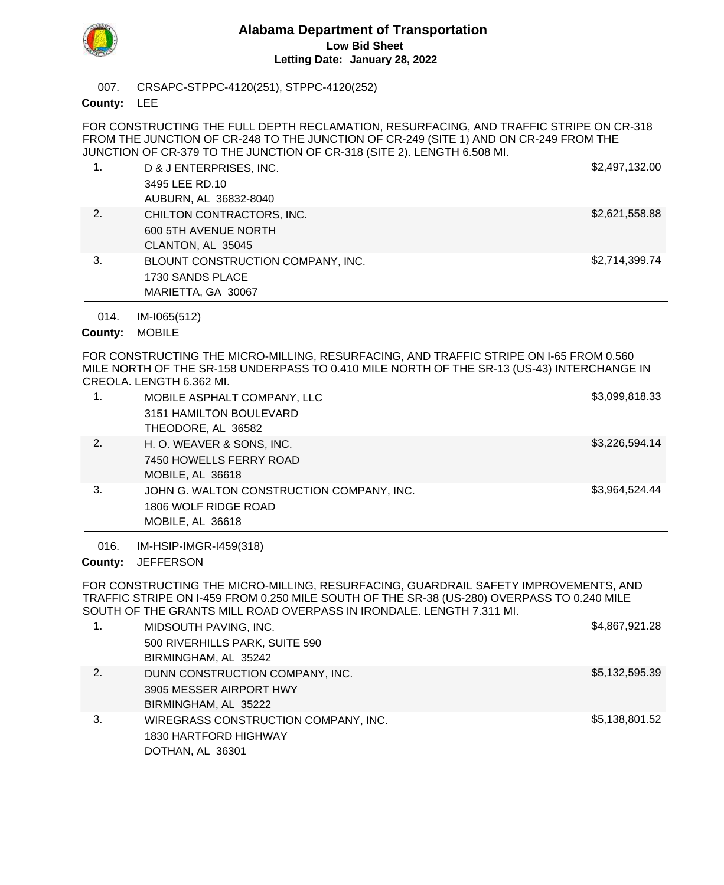

CRSAPC-STPPC-4120(251), STPPC-4120(252) 007.

County: LEE

FOR CONSTRUCTING THE FULL DEPTH RECLAMATION, RESURFACING, AND TRAFFIC STRIPE ON CR-318 FROM THE JUNCTION OF CR-248 TO THE JUNCTION OF CR-249 (SITE 1) AND ON CR-249 FROM THE JUNCTION OF CR-379 TO THE JUNCTION OF CR-318 (SITE 2). LENGTH 6.508 MI.

| 1. | D & J ENTERPRISES, INC.           | \$2,497,132.00 |
|----|-----------------------------------|----------------|
|    | 3495 LEE RD.10                    |                |
|    | AUBURN, AL 36832-8040             |                |
| 2. | CHILTON CONTRACTORS, INC.         | \$2,621,558.88 |
|    | 600 5TH AVENUE NORTH              |                |
|    | CLANTON, AL 35045                 |                |
| 3. | BLOUNT CONSTRUCTION COMPANY, INC. | \$2,714,399.74 |
|    | 1730 SANDS PLACE                  |                |
|    | MARIETTA, GA 30067                |                |

IM-I065(512) 014.

County: MOBILE

FOR CONSTRUCTING THE MICRO-MILLING, RESURFACING, AND TRAFFIC STRIPE ON I-65 FROM 0.560 MILE NORTH OF THE SR-158 UNDERPASS TO 0.410 MILE NORTH OF THE SR-13 (US-43) INTERCHANGE IN CREOLA. LENGTH 6.362 MI.

|    | MOBILE ASPHALT COMPANY, LLC               | \$3,099,818.33 |
|----|-------------------------------------------|----------------|
|    | 3151 HAMILTON BOULEVARD                   |                |
|    | THEODORE, AL 36582                        |                |
| 2. | H. O. WEAVER & SONS, INC.                 | \$3,226,594.14 |
|    | 7450 HOWELLS FERRY ROAD                   |                |
|    | MOBILE, AL 36618                          |                |
| 3. | JOHN G. WALTON CONSTRUCTION COMPANY, INC. | \$3,964,524.44 |
|    | 1806 WOLF RIDGE ROAD                      |                |
|    | MOBILE, AL 36618                          |                |

IM-HSIP-IMGR-I459(318) 016.

County: JEFFERSON

FOR CONSTRUCTING THE MICRO-MILLING, RESURFACING, GUARDRAIL SAFETY IMPROVEMENTS, AND TRAFFIC STRIPE ON I-459 FROM 0.250 MILE SOUTH OF THE SR-38 (US-280) OVERPASS TO 0.240 MILE SOUTH OF THE GRANTS MILL ROAD OVERPASS IN IRONDALE. LENGTH 7.311 MI.

| 1. | MIDSOUTH PAVING, INC.<br>500 RIVERHILLS PARK, SUITE 590 | \$4,867,921.28 |
|----|---------------------------------------------------------|----------------|
|    | BIRMINGHAM, AL 35242                                    |                |
| 2. | DUNN CONSTRUCTION COMPANY, INC.                         | \$5,132,595.39 |
|    | 3905 MESSER AIRPORT HWY                                 |                |
|    | BIRMINGHAM, AL 35222                                    |                |
| 3. | WIREGRASS CONSTRUCTION COMPANY, INC.                    | \$5,138,801.52 |
|    | 1830 HARTFORD HIGHWAY                                   |                |
|    | DOTHAN, AL 36301                                        |                |
|    |                                                         |                |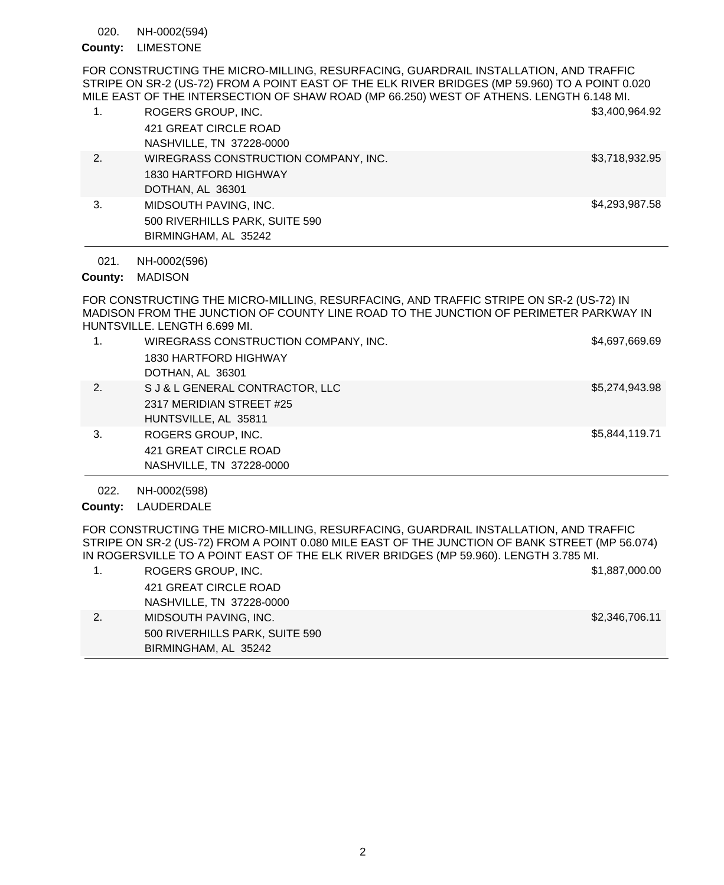#### NH-0002(594) 020.

# County: LIMESTONE

FOR CONSTRUCTING THE MICRO-MILLING, RESURFACING, GUARDRAIL INSTALLATION, AND TRAFFIC STRIPE ON SR-2 (US-72) FROM A POINT EAST OF THE ELK RIVER BRIDGES (MP 59.960) TO A POINT 0.020 MILE EAST OF THE INTERSECTION OF SHAW ROAD (MP 66.250) WEST OF ATHENS. LENGTH 6.148 MI.

| 1. | ROGERS GROUP, INC.                   | \$3,400,964.92 |
|----|--------------------------------------|----------------|
|    | 421 GREAT CIRCLE ROAD                |                |
|    | NASHVILLE, TN 37228-0000             |                |
| 2. | WIREGRASS CONSTRUCTION COMPANY, INC. | \$3,718,932.95 |
|    | 1830 HARTFORD HIGHWAY                |                |
|    | DOTHAN, AL 36301                     |                |
| 3. | MIDSOUTH PAVING, INC.                | \$4,293,987.58 |
|    | 500 RIVERHILLS PARK, SUITE 590       |                |
|    | BIRMINGHAM, AL 35242                 |                |

NH-0002(596) 021.

County: MADISON

FOR CONSTRUCTING THE MICRO-MILLING, RESURFACING, AND TRAFFIC STRIPE ON SR-2 (US-72) IN MADISON FROM THE JUNCTION OF COUNTY LINE ROAD TO THE JUNCTION OF PERIMETER PARKWAY IN HUNTSVILLE. LENGTH 6.699 MI.

| 1. | WIREGRASS CONSTRUCTION COMPANY, INC.<br>1830 HARTFORD HIGHWAY | \$4,697,669.69 |
|----|---------------------------------------------------------------|----------------|
|    | DOTHAN, AL 36301                                              |                |
| 2. | S J & L GENERAL CONTRACTOR, LLC                               | \$5,274,943.98 |
|    | 2317 MERIDIAN STREET #25                                      |                |
|    | HUNTSVILLE, AL 35811                                          |                |
| 3. | ROGERS GROUP, INC.                                            | \$5,844,119.71 |
|    | 421 GREAT CIRCLE ROAD                                         |                |
|    | NASHVILLE, TN 37228-0000                                      |                |

NH-0002(598) 022.

County: LAUDERDALE

FOR CONSTRUCTING THE MICRO-MILLING, RESURFACING, GUARDRAIL INSTALLATION, AND TRAFFIC STRIPE ON SR-2 (US-72) FROM A POINT 0.080 MILE EAST OF THE JUNCTION OF BANK STREET (MP 56.074) IN ROGERSVILLE TO A POINT EAST OF THE ELK RIVER BRIDGES (MP 59.960). LENGTH 3.785 MI.

| ROGERS GROUP, INC.             | \$1,887,000.00 |
|--------------------------------|----------------|
| 421 GREAT CIRCLE ROAD          |                |
| NASHVILLE, TN 37228-0000       |                |
| MIDSOUTH PAVING, INC.          | \$2,346,706.11 |
| 500 RIVERHILLS PARK, SUITE 590 |                |
| BIRMINGHAM, AL 35242           |                |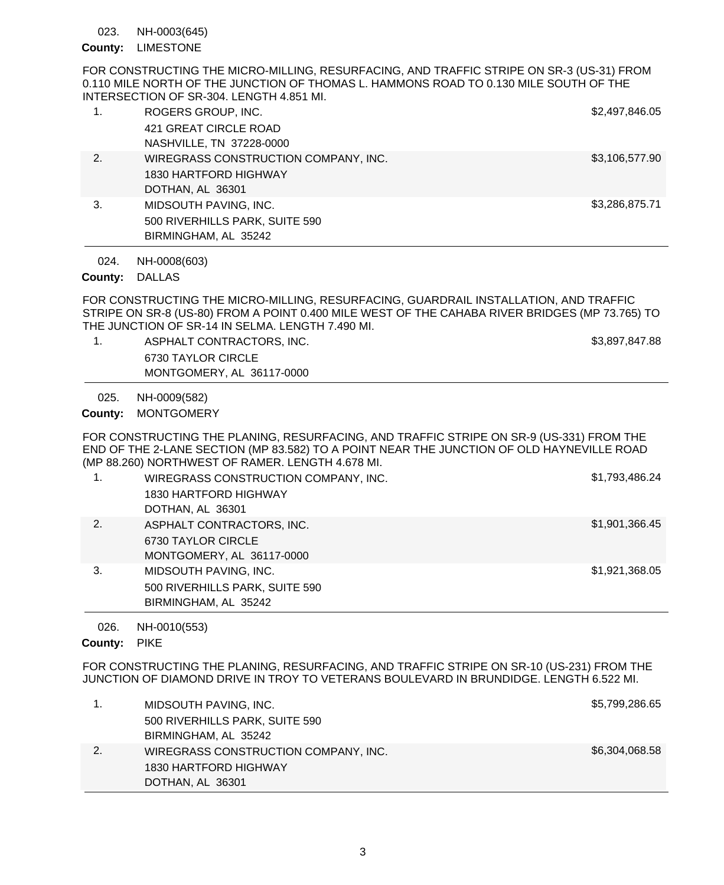NH-0003(645) 023.

# County: LIMESTONE

FOR CONSTRUCTING THE MICRO-MILLING, RESURFACING, AND TRAFFIC STRIPE ON SR-3 (US-31) FROM 0.110 MILE NORTH OF THE JUNCTION OF THOMAS L. HAMMONS ROAD TO 0.130 MILE SOUTH OF THE INTERSECTION OF SR-304. LENGTH 4.851 MI.

| 1. | ROGERS GROUP, INC.                   | \$2,497,846.05 |
|----|--------------------------------------|----------------|
|    | 421 GREAT CIRCLE ROAD                |                |
|    | NASHVILLE, TN 37228-0000             |                |
| 2. | WIREGRASS CONSTRUCTION COMPANY, INC. | \$3,106,577.90 |
|    | 1830 HARTFORD HIGHWAY                |                |
|    | DOTHAN, AL 36301                     |                |
| 3. | MIDSOUTH PAVING, INC.                | \$3,286,875.71 |
|    | 500 RIVERHILLS PARK, SUITE 590       |                |
|    | BIRMINGHAM, AL 35242                 |                |

NH-0008(603) 024.

# County: DALLAS

FOR CONSTRUCTING THE MICRO-MILLING, RESURFACING, GUARDRAIL INSTALLATION, AND TRAFFIC STRIPE ON SR-8 (US-80) FROM A POINT 0.400 MILE WEST OF THE CAHABA RIVER BRIDGES (MP 73.765) TO THE JUNCTION OF SR-14 IN SELMA. LENGTH 7.490 MI.

1. ASPHALT CONTRACTORS, INC. And the state of the state of the state of the state of the state of the state of the state of the state of the state of the state of the state of the state of the state of the state of the sta 6730 TAYLOR CIRCLE MONTGOMERY, AL 36117-0000

NH-0009(582) 025.

County: MONTGOMERY

FOR CONSTRUCTING THE PLANING, RESURFACING, AND TRAFFIC STRIPE ON SR-9 (US-331) FROM THE END OF THE 2-LANE SECTION (MP 83.582) TO A POINT NEAR THE JUNCTION OF OLD HAYNEVILLE ROAD (MP 88.260) NORTHWEST OF RAMER. LENGTH 4.678 MI.

| 1. | WIREGRASS CONSTRUCTION COMPANY, INC.<br>1830 HARTFORD HIGHWAY<br>DOTHAN, AL 36301 | \$1,793,486.24 |
|----|-----------------------------------------------------------------------------------|----------------|
| 2. | ASPHALT CONTRACTORS, INC.<br>6730 TAYLOR CIRCLE<br>MONTGOMERY, AL 36117-0000      | \$1,901,366.45 |
| 3. | MIDSOUTH PAVING, INC.<br>500 RIVERHILLS PARK, SUITE 590<br>BIRMINGHAM, AL 35242   | \$1,921,368.05 |

NH-0010(553) 026.

### County: PIKE

FOR CONSTRUCTING THE PLANING, RESURFACING, AND TRAFFIC STRIPE ON SR-10 (US-231) FROM THE JUNCTION OF DIAMOND DRIVE IN TROY TO VETERANS BOULEVARD IN BRUNDIDGE. LENGTH 6.522 MI.

| MIDSOUTH PAVING, INC.                | \$5,799,286.65 |
|--------------------------------------|----------------|
| 500 RIVERHILLS PARK, SUITE 590       |                |
| BIRMINGHAM, AL 35242                 |                |
| WIREGRASS CONSTRUCTION COMPANY, INC. | \$6,304,068.58 |
| 1830 HARTFORD HIGHWAY                |                |
| DOTHAN, AL 36301                     |                |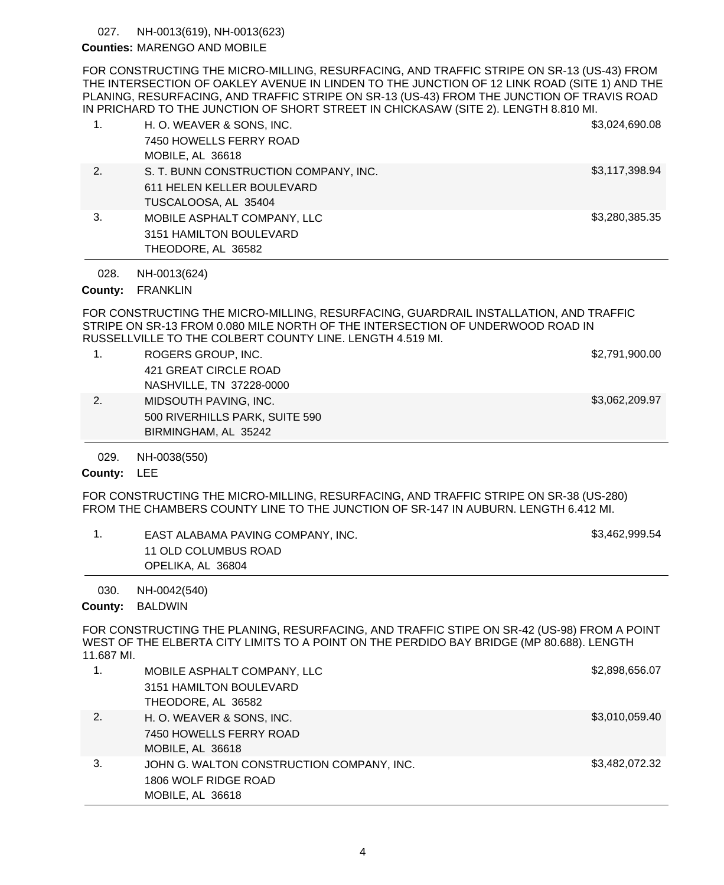#### NH-0013(619), NH-0013(623) 027.

## Counties: MARENGO AND MOBILE

FOR CONSTRUCTING THE MICRO-MILLING, RESURFACING, AND TRAFFIC STRIPE ON SR-13 (US-43) FROM THE INTERSECTION OF OAKLEY AVENUE IN LINDEN TO THE JUNCTION OF 12 LINK ROAD (SITE 1) AND THE PLANING, RESURFACING, AND TRAFFIC STRIPE ON SR-13 (US-43) FROM THE JUNCTION OF TRAVIS ROAD IN PRICHARD TO THE JUNCTION OF SHORT STREET IN CHICKASAW (SITE 2). LENGTH 8.810 MI.

| 1. | H. O. WEAVER & SONS, INC.<br>7450 HOWELLS FERRY ROAD<br>MOBILE, AL 36618                    | \$3,024,690.08 |
|----|---------------------------------------------------------------------------------------------|----------------|
| 2. | S. T. BUNN CONSTRUCTION COMPANY, INC.<br>611 HELEN KELLER BOULEVARD<br>TUSCALOOSA, AL 35404 | \$3,117,398.94 |
| 3. | MOBILE ASPHALT COMPANY, LLC<br>3151 HAMILTON BOULEVARD<br>THEODORE, AL 36582                | \$3,280,385.35 |

NH-0013(624) 028.

#### County: FRANKLIN

FOR CONSTRUCTING THE MICRO-MILLING, RESURFACING, GUARDRAIL INSTALLATION, AND TRAFFIC STRIPE ON SR-13 FROM 0.080 MILE NORTH OF THE INTERSECTION OF UNDERWOOD ROAD IN RUSSELLVILLE TO THE COLBERT COUNTY LINE. LENGTH 4.519 MI.

|    | ROGERS GROUP, INC.             | \$2,791,900.00 |
|----|--------------------------------|----------------|
|    | 421 GREAT CIRCLE ROAD          |                |
|    | NASHVILLE, TN 37228-0000       |                |
| 2. | MIDSOUTH PAVING, INC.          | \$3,062,209.97 |
|    | 500 RIVERHILLS PARK, SUITE 590 |                |
|    | BIRMINGHAM, AL 35242           |                |

#### NH-0038(550) 029.

## County: LEE

FOR CONSTRUCTING THE MICRO-MILLING, RESURFACING, AND TRAFFIC STRIPE ON SR-38 (US-280) FROM THE CHAMBERS COUNTY LINE TO THE JUNCTION OF SR-147 IN AUBURN. LENGTH 6.412 MI.

| EAST ALABAMA PAVING COMPANY, INC. | \$3,462,999.54 |
|-----------------------------------|----------------|
| 11 OLD COLUMBUS ROAD              |                |
| OPELIKA, AL 36804                 |                |
|                                   |                |

NH-0042(540) 030.

### County: BALDWIN

FOR CONSTRUCTING THE PLANING, RESURFACING, AND TRAFFIC STIPE ON SR-42 (US-98) FROM A POINT WEST OF THE ELBERTA CITY LIMITS TO A POINT ON THE PERDIDO BAY BRIDGE (MP 80.688). LENGTH 11.687 MI.

| 1. | MOBILE ASPHALT COMPANY, LLC               | \$2,898,656.07 |
|----|-------------------------------------------|----------------|
|    | 3151 HAMILTON BOULEVARD                   |                |
|    | THEODORE, AL 36582                        |                |
| 2. | H. O. WEAVER & SONS, INC.                 | \$3,010,059.40 |
|    | 7450 HOWELLS FERRY ROAD                   |                |
|    | MOBILE, AL 36618                          |                |
| 3. | JOHN G. WALTON CONSTRUCTION COMPANY, INC. | \$3,482,072.32 |
|    | 1806 WOLF RIDGE ROAD                      |                |
|    | MOBILE, AL 36618                          |                |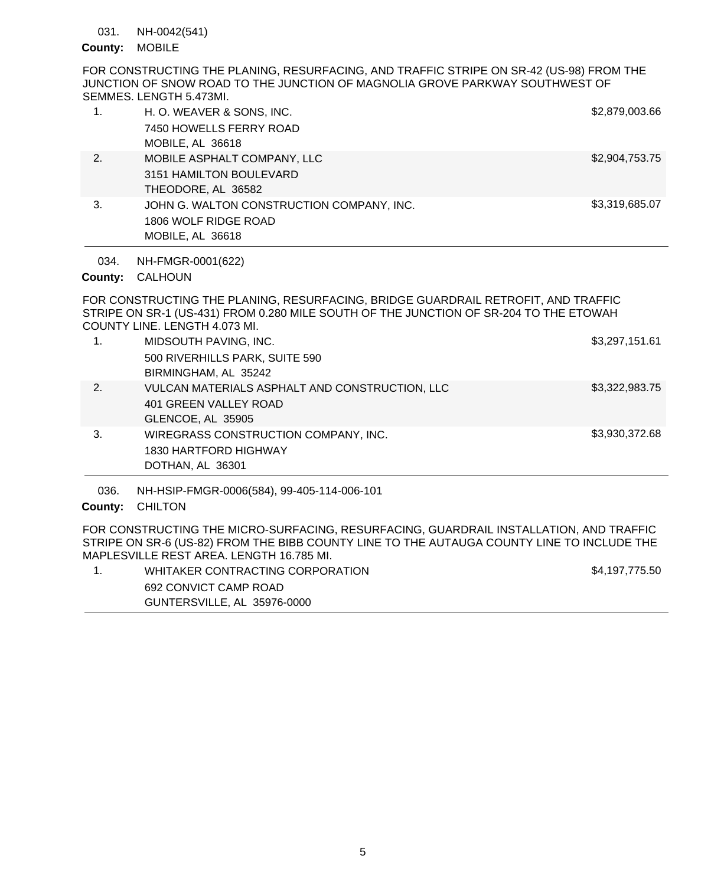NH-0042(541) 031.

## County: MOBILE

FOR CONSTRUCTING THE PLANING, RESURFACING, AND TRAFFIC STRIPE ON SR-42 (US-98) FROM THE JUNCTION OF SNOW ROAD TO THE JUNCTION OF MAGNOLIA GROVE PARKWAY SOUTHWEST OF SEMMES. LENGTH 5.473MI.

|    | H. O. WEAVER & SONS, INC.                 | \$2,879,003.66 |
|----|-------------------------------------------|----------------|
|    | 7450 HOWELLS FERRY ROAD                   |                |
|    | MOBILE, AL 36618                          |                |
| 2. | MOBILE ASPHALT COMPANY, LLC               | \$2,904,753.75 |
|    | 3151 HAMILTON BOULEVARD                   |                |
|    | THEODORE, AL 36582                        |                |
| 3. | JOHN G. WALTON CONSTRUCTION COMPANY, INC. | \$3,319,685.07 |
|    | 1806 WOLF RIDGE ROAD                      |                |
|    | MOBILE, AL 36618                          |                |

NH-FMGR-0001(622) 034.

# CALHOUN **County:**

FOR CONSTRUCTING THE PLANING, RESURFACING, BRIDGE GUARDRAIL RETROFIT, AND TRAFFIC STRIPE ON SR-1 (US-431) FROM 0.280 MILE SOUTH OF THE JUNCTION OF SR-204 TO THE ETOWAH COUNTY LINE. LENGTH 4.073 MI.

| 1. | MIDSOUTH PAVING, INC.<br>500 RIVERHILLS PARK, SUITE 590<br>BIRMINGHAM, AL 35242              | \$3,297,151.61 |
|----|----------------------------------------------------------------------------------------------|----------------|
| 2. | VULCAN MATERIALS ASPHALT AND CONSTRUCTION, LLC<br>401 GREEN VALLEY ROAD<br>GLENCOE, AL 35905 | \$3,322,983.75 |
| 3. | WIREGRASS CONSTRUCTION COMPANY, INC.<br>1830 HARTFORD HIGHWAY<br>DOTHAN, AL 36301            | \$3,930,372.68 |

NH-HSIP-FMGR-0006(584), 99-405-114-006-101 036.

# County: CHILTON

FOR CONSTRUCTING THE MICRO-SURFACING, RESURFACING, GUARDRAIL INSTALLATION, AND TRAFFIC STRIPE ON SR-6 (US-82) FROM THE BIBB COUNTY LINE TO THE AUTAUGA COUNTY LINE TO INCLUDE THE MAPLESVILLE REST AREA. LENGTH 16.785 MI.

| WHITAKER CONTRACTING CORPORATION | \$4,197,775.50 |
|----------------------------------|----------------|
| 692 CONVICT CAMP ROAD            |                |
| GUNTERSVILLE, AL 35976-0000      |                |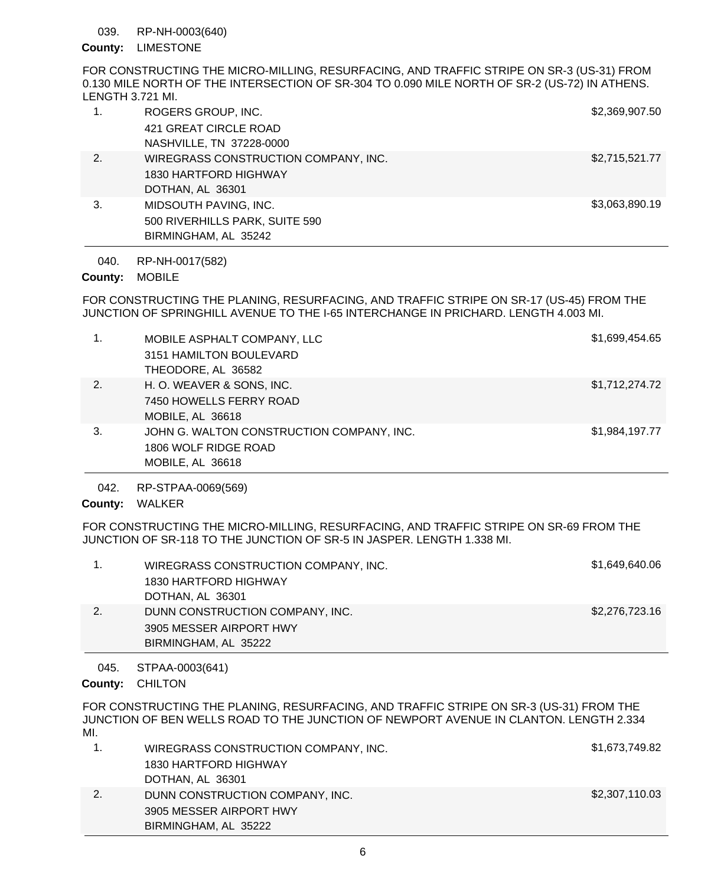#### RP-NH-0003(640) 039.

# County: LIMESTONE

FOR CONSTRUCTING THE MICRO-MILLING, RESURFACING, AND TRAFFIC STRIPE ON SR-3 (US-31) FROM 0.130 MILE NORTH OF THE INTERSECTION OF SR-304 TO 0.090 MILE NORTH OF SR-2 (US-72) IN ATHENS. LENGTH 3.721 MI.

| 1. | ROGERS GROUP, INC.                   | \$2,369,907.50 |
|----|--------------------------------------|----------------|
|    | 421 GREAT CIRCLE ROAD                |                |
|    | NASHVILLE, TN 37228-0000             |                |
| 2. | WIREGRASS CONSTRUCTION COMPANY, INC. | \$2,715,521.77 |
|    | 1830 HARTFORD HIGHWAY                |                |
|    | DOTHAN, AL 36301                     |                |
| 3. | MIDSOUTH PAVING, INC.                | \$3,063,890.19 |
|    | 500 RIVERHILLS PARK, SUITE 590       |                |
|    | BIRMINGHAM, AL 35242                 |                |

RP-NH-0017(582) 040.

# County: MOBILE

FOR CONSTRUCTING THE PLANING, RESURFACING, AND TRAFFIC STRIPE ON SR-17 (US-45) FROM THE JUNCTION OF SPRINGHILL AVENUE TO THE I-65 INTERCHANGE IN PRICHARD. LENGTH 4.003 MI.

| 1. | MOBILE ASPHALT COMPANY, LLC<br>3151 HAMILTON BOULEVARD<br>THEODORE, AL 36582          | \$1,699,454.65 |
|----|---------------------------------------------------------------------------------------|----------------|
| 2. | H. O. WEAVER & SONS, INC.<br>7450 HOWELLS FERRY ROAD<br>MOBILE, AL 36618              | \$1,712,274.72 |
| 3. | JOHN G. WALTON CONSTRUCTION COMPANY, INC.<br>1806 WOLF RIDGE ROAD<br>MOBILE, AL 36618 | \$1,984,197.77 |

RP-STPAA-0069(569) 042.

# County: WALKER

FOR CONSTRUCTING THE MICRO-MILLING, RESURFACING, AND TRAFFIC STRIPE ON SR-69 FROM THE JUNCTION OF SR-118 TO THE JUNCTION OF SR-5 IN JASPER. LENGTH 1.338 MI.

|    | WIREGRASS CONSTRUCTION COMPANY, INC. | \$1,649,640.06 |
|----|--------------------------------------|----------------|
|    | 1830 HARTFORD HIGHWAY                |                |
|    | DOTHAN, AL 36301                     |                |
| 2. | DUNN CONSTRUCTION COMPANY, INC.      | \$2,276,723.16 |
|    | 3905 MESSER AIRPORT HWY              |                |
|    | BIRMINGHAM, AL 35222                 |                |

#### STPAA-0003(641) 045.

County: CHILTON

FOR CONSTRUCTING THE PLANING, RESURFACING, AND TRAFFIC STRIPE ON SR-3 (US-31) FROM THE JUNCTION OF BEN WELLS ROAD TO THE JUNCTION OF NEWPORT AVENUE IN CLANTON. LENGTH 2.334 MI.

|    | WIREGRASS CONSTRUCTION COMPANY, INC. | \$1,673,749.82 |
|----|--------------------------------------|----------------|
|    | 1830 HARTFORD HIGHWAY                |                |
|    | DOTHAN, AL 36301                     |                |
| 2. | DUNN CONSTRUCTION COMPANY, INC.      | \$2,307,110.03 |
|    | 3905 MESSER AIRPORT HWY              |                |
|    | BIRMINGHAM, AL 35222                 |                |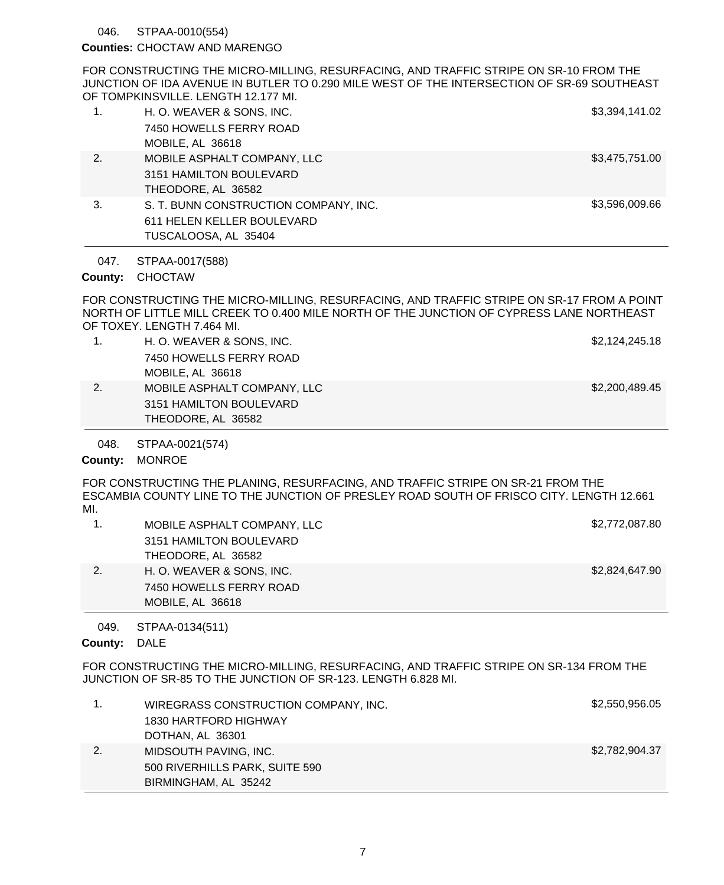#### STPAA-0010(554) 046.

### Counties: CHOCTAW AND MARENGO

FOR CONSTRUCTING THE MICRO-MILLING, RESURFACING, AND TRAFFIC STRIPE ON SR-10 FROM THE JUNCTION OF IDA AVENUE IN BUTLER TO 0.290 MILE WEST OF THE INTERSECTION OF SR-69 SOUTHEAST OF TOMPKINSVILLE. LENGTH 12.177 MI.

| $\mathbf{1}$ . | H. O. WEAVER & SONS, INC.<br>7450 HOWELLS FERRY ROAD<br>MOBILE, AL 36618                    | \$3,394,141.02 |
|----------------|---------------------------------------------------------------------------------------------|----------------|
| 2.             | MOBILE ASPHALT COMPANY, LLC<br>3151 HAMILTON BOULEVARD<br>THEODORE, AL 36582                | \$3,475,751.00 |
| 3.             | S. T. BUNN CONSTRUCTION COMPANY, INC.<br>611 HELEN KELLER BOULEVARD<br>TUSCALOOSA, AL 35404 | \$3,596,009.66 |

STPAA-0017(588) 047.

# County: CHOCTAW

FOR CONSTRUCTING THE MICRO-MILLING, RESURFACING, AND TRAFFIC STRIPE ON SR-17 FROM A POINT NORTH OF LITTLE MILL CREEK TO 0.400 MILE NORTH OF THE JUNCTION OF CYPRESS LANE NORTHEAST OF TOXEY. LENGTH 7.464 MI.

|    | H. O. WEAVER & SONS, INC.   | \$2,124,245.18 |
|----|-----------------------------|----------------|
|    | 7450 HOWELLS FERRY ROAD     |                |
|    | MOBILE, AL 36618            |                |
| 2. | MOBILE ASPHALT COMPANY, LLC | \$2,200,489.45 |
|    | 3151 HAMILTON BOULEVARD     |                |
|    | THEODORE, AL 36582          |                |
|    |                             |                |

STPAA-0021(574) 048.

### County: MONROE

FOR CONSTRUCTING THE PLANING, RESURFACING, AND TRAFFIC STRIPE ON SR-21 FROM THE ESCAMBIA COUNTY LINE TO THE JUNCTION OF PRESLEY ROAD SOUTH OF FRISCO CITY. LENGTH 12.661 MI.

|    | MOBILE ASPHALT COMPANY, LLC | \$2,772,087.80 |
|----|-----------------------------|----------------|
|    | 3151 HAMILTON BOULEVARD     |                |
|    | THEODORE, AL 36582          |                |
| 2. | H. O. WEAVER & SONS. INC.   | \$2,824,647.90 |
|    | 7450 HOWELLS FERRY ROAD     |                |
|    | MOBILE, AL 36618            |                |

STPAA-0134(511) 049.

### County: DALE

FOR CONSTRUCTING THE MICRO-MILLING, RESURFACING, AND TRAFFIC STRIPE ON SR-134 FROM THE JUNCTION OF SR-85 TO THE JUNCTION OF SR-123. LENGTH 6.828 MI.

| WIREGRASS CONSTRUCTION COMPANY, INC. | \$2,550,956.05 |
|--------------------------------------|----------------|
| 1830 HARTFORD HIGHWAY                |                |
| DOTHAN, AL 36301                     |                |
| MIDSOUTH PAVING, INC.                | \$2,782,904.37 |
| 500 RIVERHILLS PARK, SUITE 590       |                |
| BIRMINGHAM, AL 35242                 |                |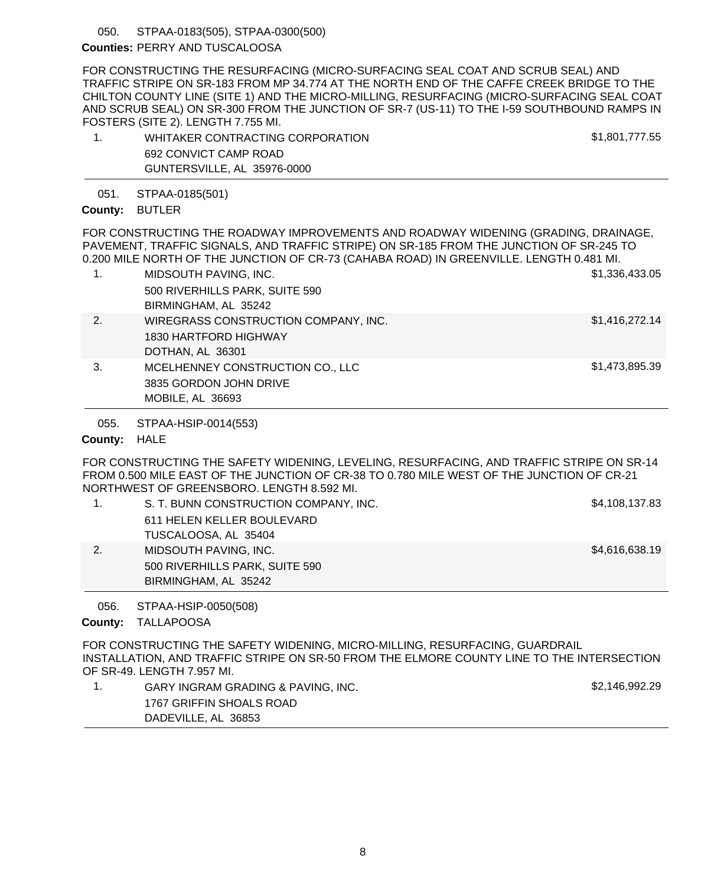#### STPAA-0183(505), STPAA-0300(500) 050.

## Counties: PERRY AND TUSCALOOSA

FOR CONSTRUCTING THE RESURFACING (MICRO-SURFACING SEAL COAT AND SCRUB SEAL) AND TRAFFIC STRIPE ON SR-183 FROM MP 34.774 AT THE NORTH END OF THE CAFFE CREEK BRIDGE TO THE CHILTON COUNTY LINE (SITE 1) AND THE MICRO-MILLING, RESURFACING (MICRO-SURFACING SEAL COAT AND SCRUB SEAL) ON SR-300 FROM THE JUNCTION OF SR-7 (US-11) TO THE I-59 SOUTHBOUND RAMPS IN FOSTERS (SITE 2). LENGTH 7.755 MI.

| WHITAKER CONTRACTING CORPORATION | \$1,801,777.55 |
|----------------------------------|----------------|
| 692 CONVICT CAMP ROAD            |                |
| GUNTERSVILLE, AL 35976-0000      |                |

STPAA-0185(501) 051.

## County: BUTLER

FOR CONSTRUCTING THE ROADWAY IMPROVEMENTS AND ROADWAY WIDENING (GRADING, DRAINAGE, PAVEMENT, TRAFFIC SIGNALS, AND TRAFFIC STRIPE) ON SR-185 FROM THE JUNCTION OF SR-245 TO 0.200 MILE NORTH OF THE JUNCTION OF CR-73 (CAHABA ROAD) IN GREENVILLE. LENGTH 0.481 MI.

| 1. | MIDSOUTH PAVING, INC.                | \$1,336,433.05 |
|----|--------------------------------------|----------------|
|    | 500 RIVERHILLS PARK, SUITE 590       |                |
|    | BIRMINGHAM, AL 35242                 |                |
| 2. | WIREGRASS CONSTRUCTION COMPANY, INC. | \$1,416,272.14 |
|    | 1830 HARTFORD HIGHWAY                |                |
|    | DOTHAN, AL 36301                     |                |
| 3. | MCELHENNEY CONSTRUCTION CO., LLC     | \$1,473,895.39 |
|    | 3835 GORDON JOHN DRIVE               |                |

MOBILE, AL 36693

STPAA-HSIP-0014(553) 055.

## County: HALE

FOR CONSTRUCTING THE SAFETY WIDENING, LEVELING, RESURFACING, AND TRAFFIC STRIPE ON SR-14 FROM 0.500 MILE EAST OF THE JUNCTION OF CR-38 TO 0.780 MILE WEST OF THE JUNCTION OF CR-21 NORTHWEST OF GREENSBORO. LENGTH 8.592 MI.

|    | S. T. BUNN CONSTRUCTION COMPANY, INC. | \$4,108,137.83 |
|----|---------------------------------------|----------------|
|    | 611 HELEN KELLER BOULEVARD            |                |
|    | TUSCALOOSA, AL 35404                  |                |
| 2. | MIDSOUTH PAVING, INC.                 | \$4,616,638.19 |
|    | 500 RIVERHILLS PARK, SUITE 590        |                |
|    | BIRMINGHAM, AL 35242                  |                |
|    |                                       |                |

STPAA-HSIP-0050(508) 056.

### County: TALLAPOOSA

FOR CONSTRUCTING THE SAFETY WIDENING, MICRO-MILLING, RESURFACING, GUARDRAIL INSTALLATION, AND TRAFFIC STRIPE ON SR-50 FROM THE ELMORE COUNTY LINE TO THE INTERSECTION OF SR-49. LENGTH 7.957 MI.

1. GARY INGRAM GRADING & PAVING, INC. The same state of the state of the state of the S2,146,992.29 1767 GRIFFIN SHOALS ROAD DADEVILLE, AL 36853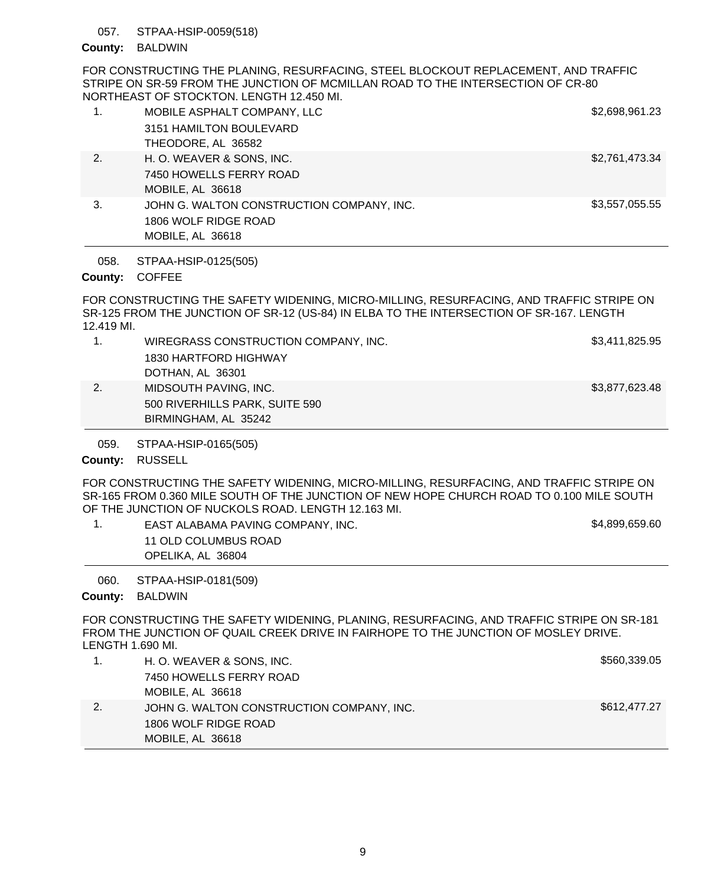#### STPAA-HSIP-0059(518) 057.

## County: BALDWIN

FOR CONSTRUCTING THE PLANING, RESURFACING, STEEL BLOCKOUT REPLACEMENT, AND TRAFFIC STRIPE ON SR-59 FROM THE JUNCTION OF MCMILLAN ROAD TO THE INTERSECTION OF CR-80 NORTHEAST OF STOCKTON. LENGTH 12.450 MI.

| 1. | MOBILE ASPHALT COMPANY, LLC               | \$2,698,961.23 |
|----|-------------------------------------------|----------------|
|    | 3151 HAMILTON BOULEVARD                   |                |
|    | THEODORE, AL 36582                        |                |
| 2. | H. O. WEAVER & SONS, INC.                 | \$2,761,473.34 |
|    | 7450 HOWELLS FERRY ROAD                   |                |
|    | MOBILE, AL 36618                          |                |
| 3. | JOHN G. WALTON CONSTRUCTION COMPANY, INC. | \$3,557,055.55 |
|    | 1806 WOLF RIDGE ROAD                      |                |
|    | MOBILE, AL 36618                          |                |

STPAA-HSIP-0125(505) 058.

### County: COFFEE

FOR CONSTRUCTING THE SAFETY WIDENING, MICRO-MILLING, RESURFACING, AND TRAFFIC STRIPE ON SR-125 FROM THE JUNCTION OF SR-12 (US-84) IN ELBA TO THE INTERSECTION OF SR-167. LENGTH 12.419 MI.

|    | WIREGRASS CONSTRUCTION COMPANY, INC. | \$3,411,825.95 |
|----|--------------------------------------|----------------|
|    | 1830 HARTFORD HIGHWAY                |                |
|    | DOTHAN, AL 36301                     |                |
| 2. | MIDSOUTH PAVING, INC.                | \$3,877,623.48 |
|    | 500 RIVERHILLS PARK, SUITE 590       |                |

STPAA-HSIP-0165(505) 059.

BIRMINGHAM, AL 35242

### County: RUSSELL

FOR CONSTRUCTING THE SAFETY WIDENING, MICRO-MILLING, RESURFACING, AND TRAFFIC STRIPE ON SR-165 FROM 0.360 MILE SOUTH OF THE JUNCTION OF NEW HOPE CHURCH ROAD TO 0.100 MILE SOUTH OF THE JUNCTION OF NUCKOLS ROAD. LENGTH 12.163 MI.

1. EAST ALABAMA PAVING COMPANY, INC. The same state of the state of the state of the state of the state of the state of the state of the state of the state of the state of the state of the state of the state of the state o 11 OLD COLUMBUS ROAD OPELIKA, AL 36804

STPAA-HSIP-0181(509) 060.

### County: BALDWIN

FOR CONSTRUCTING THE SAFETY WIDENING, PLANING, RESURFACING, AND TRAFFIC STRIPE ON SR-181 FROM THE JUNCTION OF QUAIL CREEK DRIVE IN FAIRHOPE TO THE JUNCTION OF MOSLEY DRIVE. LENGTH 1.690 MI.

|    | MOBILE, AL 36618                          |              |
|----|-------------------------------------------|--------------|
|    | 1806 WOLF RIDGE ROAD                      |              |
| 2. | JOHN G. WALTON CONSTRUCTION COMPANY, INC. | \$612,477.27 |
|    | MOBILE, AL 36618                          |              |
|    | 7450 HOWELLS FERRY ROAD                   |              |
|    | H. O. WEAVER & SONS, INC.                 | \$560,339.05 |